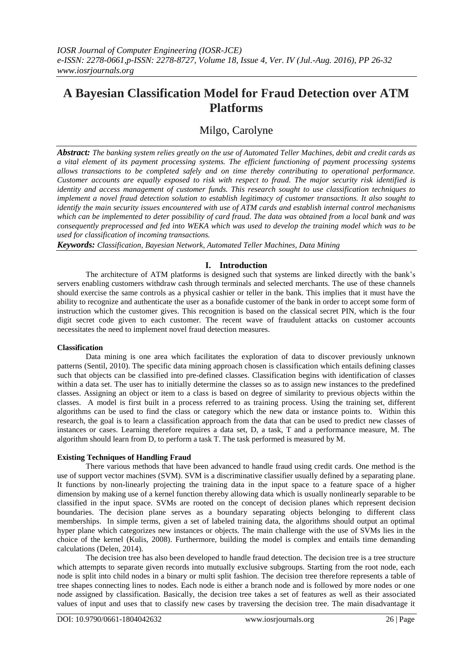# **A Bayesian Classification Model for Fraud Detection over ATM Platforms**

# Milgo, Carolyne

*Abstract: The banking system relies greatly on the use of Automated Teller Machines, debit and credit cards as a vital element of its payment processing systems. The efficient functioning of payment processing systems allows transactions to be completed safely and on time thereby contributing to operational performance. Customer accounts are equally exposed to risk with respect to fraud. The major security risk identified is identity and access management of customer funds. This research sought to use classification techniques to implement a novel fraud detection solution to establish legitimacy of customer transactions. It also sought to identify the main security issues encountered with use of ATM cards and establish internal control mechanisms which can be implemented to deter possibility of card fraud. The data was obtained from a local bank and was consequently preprocessed and fed into WEKA which was used to develop the training model which was to be used for classification of incoming transactions.* 

*Keywords: Classification, Bayesian Network, Automated Teller Machines, Data Mining*

# **I. Introduction**

The architecture of ATM platforms is designed such that systems are linked directly with the bank's servers enabling customers withdraw cash through terminals and selected merchants. The use of these channels should exercise the same controls as a physical cashier or teller in the bank. This implies that it must have the ability to recognize and authenticate the user as a bonafide customer of the bank in order to accept some form of instruction which the customer gives. This recognition is based on the classical secret PIN, which is the four digit secret code given to each customer. The recent wave of fraudulent attacks on customer accounts necessitates the need to implement novel fraud detection measures.

# **Classification**

Data mining is one area which facilitates the exploration of data to discover previously unknown patterns (Sentil, 2010). The specific data mining approach chosen is classification which entails defining classes such that objects can be classified into pre-defined classes. Classification begins with identification of classes within a data set. The user has to initially determine the classes so as to assign new instances to the predefined classes. Assigning an object or item to a class is based on degree of similarity to previous objects within the classes. A model is first built in a process referred to as training process. Using the training set, different algorithms can be used to find the class or category which the new data or instance points to. Within this research, the goal is to learn a classification approach from the data that can be used to predict new classes of instances or cases. Learning therefore requires a data set, D, a task, T and a performance measure, M. The algorithm should learn from D, to perform a task T. The task performed is measured by M.

# **Existing Techniques of Handling Fraud**

There various methods that have been advanced to handle fraud using credit cards. One method is the use of support vector machines (SVM). SVM is a discriminative classifier usually defined by a separating plane. It functions by non-linearly projecting the training data in the input space to a feature space of a higher dimension by making use of a kernel function thereby allowing data which is usually nonlinearly separable to be classified in the input space. SVMs are rooted on the concept of decision planes which represent decision boundaries. The decision plane serves as a boundary separating objects belonging to different class memberships. In simple terms, given a set of labeled training data, the algorithms should output an optimal hyper plane which categorizes new instances or objects. The main challenge with the use of SVMs lies in the choice of the kernel (Kulis, 2008). Furthermore, building the model is complex and entails time demanding calculations (Delen, 2014).

The decision tree has also been developed to handle fraud detection. The decision tree is a tree structure which attempts to separate given records into mutually exclusive subgroups. Starting from the root node, each node is split into child nodes in a binary or multi split fashion. The decision tree therefore represents a table of tree shapes connecting lines to nodes. Each node is either a branch node and is followed by more nodes or one node assigned by classification. Basically, the decision tree takes a set of features as well as their associated values of input and uses that to classify new cases by traversing the decision tree. The main disadvantage it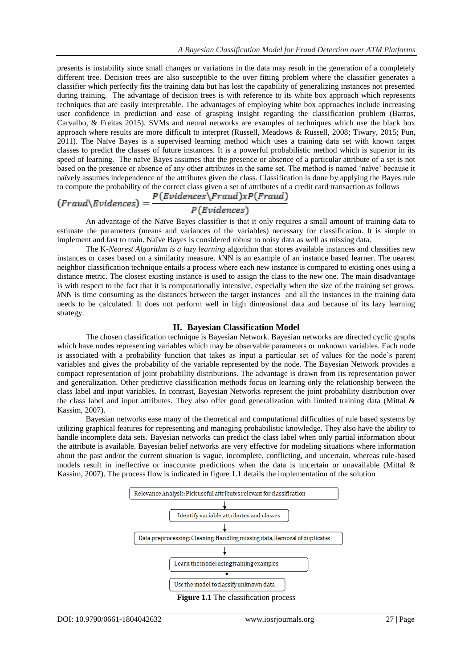presents is instability since small changes or variations in the data may result in the generation of a completely different tree. Decision trees are also susceptible to the over fitting problem where the classifier generates a classifier which perfectly fits the training data but has lost the capability of generalizing instances not presented during training. The advantage of decision trees is with reference to its white box approach which represents techniques that are easily interpretable. The advantages of employing white box approaches include increasing user confidence in prediction and ease of grasping insight regarding the classification problem (Barros, Carvalho, & Freitas 2015). SVMs and neural networks are examples of techniques which use the black box approach where results are more difficult to interpret (Russell, Meadows & Russell, 2008; Tiwary, 2015; Pun, 2011). The Naïve Bayes is a supervised learning method which uses a training data set with known target classes to predict the classes of future instances. It is a powerful probabilistic method which is superior in its speed of learning. The naïve Bayes assumes that the presence or absence of a particular attribute of a set is not based on the presence or absence of any other attributes in the same set. The method is named 'naïve' because it naïvely assumes independence of the attributes given the class. Classification is done by applying the Bayes rule to compute the probability of the correct class given a set of attributes of a credit card transaction as follows<br>  $(Fraud\&Evidences) = \frac{P(Evidences\&Fraud)\times P(Fraud)}{P(Evidences)}$ 

An advantage of the Naïve Bayes classifier is that it only requires a small amount of training data to estimate the parameters (means and variances of the variables) necessary for classification. It is simple to implement and fast to train. Naïve Bayes is considered robust to noisy data as well as missing data.

The K*-Nearest Algorithm is a lazy learning* algorithm that stores available instances and classifies new instances or cases based on a similarity measure. *k*NN is an example of an instance based learner. The nearest neighbor classification technique entails a process where each new instance is compared to existing ones using a distance metric. The closest existing instance is used to assign the class to the new one. The main disadvantage is with respect to the fact that it is computationally intensive, especially when the size of the training set grows. *k*NN is time consuming as the distances between the target instances and all the instances in the training data needs to be calculated. It does not perform well in high dimensional data and because of its lazy learning strategy.

# **II. Bayesian Classification Model**

The chosen classification technique is Bayesian Network. Bayesian networks are directed cyclic graphs which have nodes representing variables which may be observable parameters or unknown variables. Each node is associated with a probability function that takes as input a particular set of values for the node's parent variables and gives the probability of the variable represented by the node. The Bayesian Network provides a compact representation of joint probability distributions. The advantage is drawn from its representation power and generalization. Other predictive classification methods focus on learning only the relationship between the class label and input variables. In contrast, Bayesian Networks represent the joint probability distribution over the class label and input attributes. They also offer good generalization with limited training data (Mittal & Kassim, 2007).

Bayesian networks ease many of the theoretical and computational difficulties of rule based systems by utilizing graphical features for representing and managing probabilistic knowledge. They also have the ability to handle incomplete data sets. Bayesian networks can predict the class label when only partial information about the attribute is available. Bayesian belief networks are very effective for modeling situations where information about the past and/or the current situation is vague, incomplete, conflicting, and uncertain, whereas rule-based models result in ineffective or inaccurate predictions when the data is uncertain or unavailable (Mittal & Kassim, 2007). The process flow is indicated in figure 1.1 details the implementation of the solution

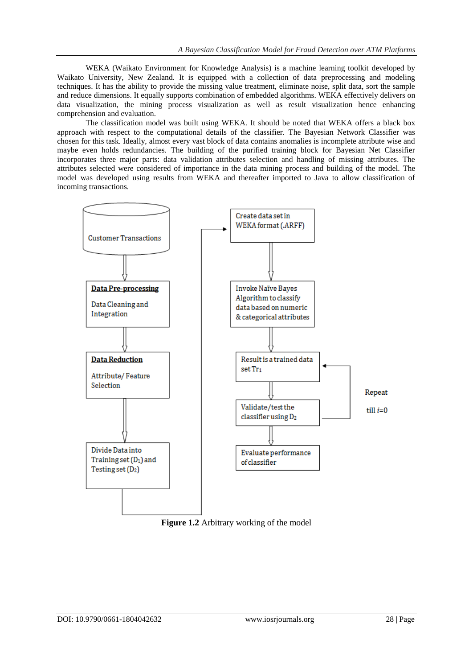WEKA (Waikato Environment for Knowledge Analysis) is a machine learning toolkit developed by Waikato University, New Zealand. It is equipped with a collection of data preprocessing and modeling techniques. It has the ability to provide the missing value treatment, eliminate noise, split data, sort the sample and reduce dimensions. It equally supports combination of embedded algorithms. WEKA effectively delivers on data visualization, the mining process visualization as well as result visualization hence enhancing comprehension and evaluation.

The classification model was built using WEKA. It should be noted that WEKA offers a black box approach with respect to the computational details of the classifier. The Bayesian Network Classifier was chosen for this task. Ideally, almost every vast block of data contains anomalies is incomplete attribute wise and maybe even holds redundancies. The building of the purified training block for Bayesian Net Classifier incorporates three major parts: data validation attributes selection and handling of missing attributes. The attributes selected were considered of importance in the data mining process and building of the model. The model was developed using results from WEKA and thereafter imported to Java to allow classification of incoming transactions.



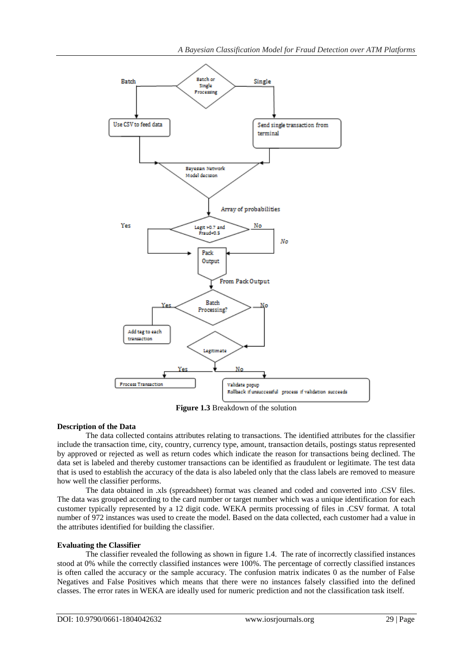

**Figure 1.3** Breakdown of the solution

# **Description of the Data**

The data collected contains attributes relating to transactions. The identified attributes for the classifier include the transaction time, city, country, currency type, amount, transaction details, postings status represented by approved or rejected as well as return codes which indicate the reason for transactions being declined. The data set is labeled and thereby customer transactions can be identified as fraudulent or legitimate. The test data that is used to establish the accuracy of the data is also labeled only that the class labels are removed to measure how well the classifier performs.

The data obtained in .xls (spreadsheet) format was cleaned and coded and converted into .CSV files. The data was grouped according to the card number or target number which was a unique identification for each customer typically represented by a 12 digit code. WEKA permits processing of files in .CSV format. A total number of 972 instances was used to create the model. Based on the data collected, each customer had a value in the attributes identified for building the classifier.

# **Evaluating the Classifier**

The classifier revealed the following as shown in figure 1.4. The rate of incorrectly classified instances stood at 0% while the correctly classified instances were 100%. The percentage of correctly classified instances is often called the accuracy or the sample accuracy. The confusion matrix indicates 0 as the number of False Negatives and False Positives which means that there were no instances falsely classified into the defined classes. The error rates in WEKA are ideally used for numeric prediction and not the classification task itself.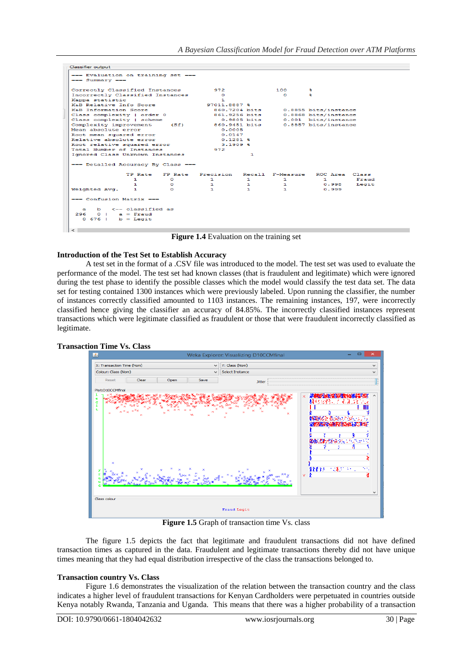| Classifier output                                                                     |                                                                                             |    |                                            |                  |              |                      |       |
|---------------------------------------------------------------------------------------|---------------------------------------------------------------------------------------------|----|--------------------------------------------|------------------|--------------|----------------------|-------|
| --- Evaluation on training set ---<br>$==$ Summary $==$                               |                                                                                             |    |                                            |                  |              |                      |       |
|                                                                                       | Correctly Classified Instances                                                              |    |                                            | 972              |              | -56                  |       |
|                                                                                       | Incorrectly Classified Instances                                                            |    |                                            | $\Omega$         |              | s.                   |       |
| Kappa statistic                                                                       |                                                                                             |    |                                            |                  |              |                      |       |
| K&B Relative Info Score                                                               |                                                                                             |    | 97011.8887 %                               |                  |              |                      |       |
| <b>K&amp;B</b> Information Score                                                      |                                                                                             |    | 860.7204 bits                              |                  |              | 0.8855 bits/instance |       |
| Class complexity   order 0                                                            |                                                                                             |    | 861,9256 bits                              |                  |              | 0.8868 bits/instance |       |
|                                                                                       | Class complexity   scheme                                                                   |    |                                            | $0.9805$ bits    |              | 0.001 bits/instance  |       |
| Complexity improvement<br>(Sf)                                                        |                                                                                             |    | 860.9451 bits                              |                  |              | 0.8857 bits/instance |       |
|                                                                                       | Mean absolute error<br>Root mean squared error<br>Relative absolute error                   |    |                                            | 0.0005<br>0.0147 |              |                      |       |
|                                                                                       |                                                                                             |    |                                            |                  |              |                      |       |
|                                                                                       |                                                                                             |    |                                            | $0.1281$ \$      |              |                      |       |
|                                                                                       | Root relative squared error<br>Total Number of Instances<br>Ignored Class Unknown Instances |    | $3.1909$ \$<br>972<br>1.                   |                  |              |                      |       |
|                                                                                       |                                                                                             |    |                                            |                  |              |                      |       |
|                                                                                       |                                                                                             |    |                                            |                  |              |                      |       |
| --- Detailed Accuracy By Class ---                                                    |                                                                                             |    |                                            |                  |              |                      |       |
|                                                                                       |                                                                                             |    | TP Rate FP Rate Precision Recall F-Measure |                  |              | ROC Area Class       |       |
|                                                                                       | п.                                                                                          | n. | $\mathbf{1}$                               | п.               | 1.           | п.                   | Frand |
|                                                                                       | 1                                                                                           | o  | 1.                                         | 1.               | 1.           | 0.998                | Legit |
| Weighted Avg.                                                                         | 1.                                                                                          | C. | $\mathbf{1}$                               | 1.               | $\mathbf{1}$ | 0.999                |       |
| === Confusion Matrix ===                                                              |                                                                                             |    |                                            |                  |              |                      |       |
| $b \leq -$ classified as<br>a.<br>296.<br>$0 \mid a =$ Fraud<br>$0.676$   $b =$ Legit |                                                                                             |    |                                            |                  |              |                      |       |
| $\epsilon$                                                                            |                                                                                             |    |                                            |                  |              |                      |       |

**Figure 1.4** Evaluation on the training set

### **Introduction of the Test Set to Establish Accuracy**

A test set in the format of a .CSV file was introduced to the model. The test set was used to evaluate the performance of the model. The test set had known classes (that is fraudulent and legitimate) which were ignored during the test phase to identify the possible classes which the model would classify the test data set. The data set for testing contained 1300 instances which were previously labeled. Upon running the classifier, the number of instances correctly classified amounted to 1103 instances. The remaining instances, 197, were incorrectly classified hence giving the classifier an accuracy of 84.85%. The incorrectly classified instances represent transactions which were legitimate classified as fraudulent or those that were fraudulent incorrectly classified as legitimate.



Figure 1.5 Graph of transaction time Vs. class

The figure 1.5 depicts the fact that legitimate and fraudulent transactions did not have defined transaction times as captured in the data. Fraudulent and legitimate transactions thereby did not have unique times meaning that they had equal distribution irrespective of the class the transactions belonged to.

# **Transaction country Vs. Class**

Figure 1.6 demonstrates the visualization of the relation between the transaction country and the class indicates a higher level of fraudulent transactions for Kenyan Cardholders were perpetuated in countries outside Kenya notably Rwanda, Tanzania and Uganda. This means that there was a higher probability of a transaction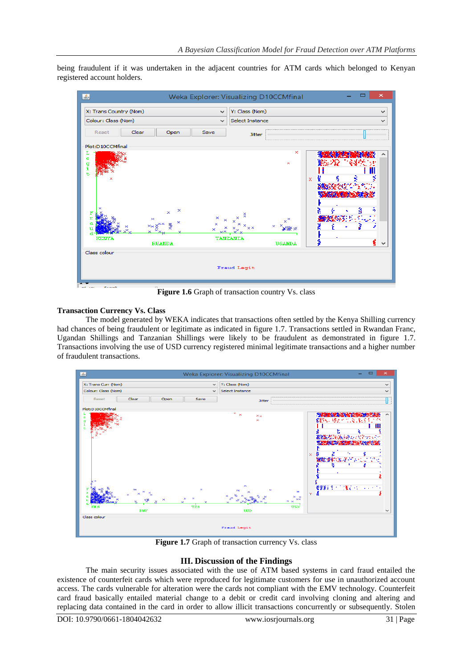being fraudulent if it was undertaken in the adjacent countries for ATM cards which belonged to Kenyan registered account holders.



**Figure 1.6** Graph of transaction country Vs. class

# **Transaction Currency Vs. Class**

The model generated by WEKA indicates that transactions often settled by the Kenya Shilling currency had chances of being fraudulent or legitimate as indicated in figure 1.7. Transactions settled in Rwandan Franc, Ugandan Shillings and Tanzanian Shillings were likely to be fraudulent as demonstrated in figure 1.7. Transactions involving the use of USD currency registered minimal legitimate transactions and a higher number of fraudulent transactions.



**Figure 1.7** Graph of transaction currency Vs. class

# **III. Discussion of the Findings**

The main security issues associated with the use of ATM based systems in card fraud entailed the existence of counterfeit cards which were reproduced for legitimate customers for use in unauthorized account access. The cards vulnerable for alteration were the cards not compliant with the EMV technology. Counterfeit card fraud basically entailed material change to a debit or credit card involving cloning and altering and replacing data contained in the card in order to allow illicit transactions concurrently or subsequently. Stolen